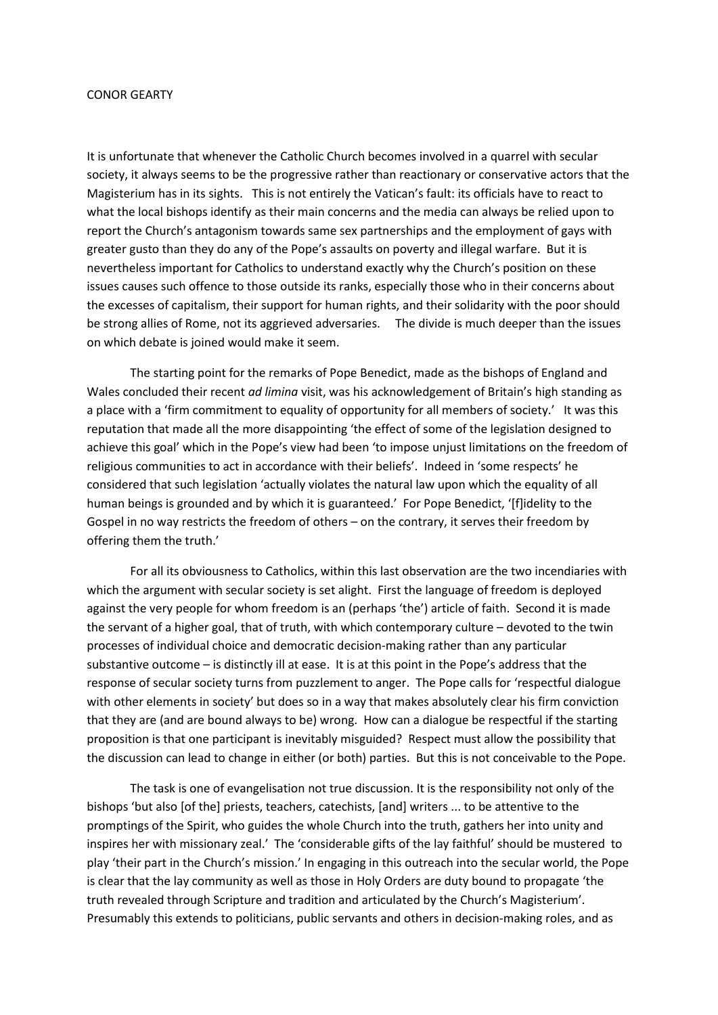## CONOR GEARTY

It is unfortunate that whenever the Catholic Church becomes involved in a quarrel with secular society, it always seems to be the progressive rather than reactionary or conservative actors that the Magisterium has in its sights. This is not entirely the Vatican's fault: its officials have to react to what the local bishops identify as their main concerns and the media can always be relied upon to report the Church's antagonism towards same sex partnerships and the employment of gays with greater gusto than they do any of the Pope's assaults on poverty and illegal warfare. But it is nevertheless important for Catholics to understand exactly why the Church's position on these issues causes such offence to those outside its ranks, especially those who in their concerns about the excesses of capitalism, their support for human rights, and their solidarity with the poor should be strong allies of Rome, not its aggrieved adversaries. The divide is much deeper than the issues on which debate is joined would make it seem.

The starting point for the remarks of Pope Benedict, made as the bishops of England and Wales concluded their recent *ad limina* visit, was his acknowledgement of Britain's high standing as a place with a 'firm commitment to equality of opportunity for all members of society.' It was this reputation that made all the more disappointing 'the effect of some of the legislation designed to achieve this goal' which in the Pope's view had been 'to impose unjust limitations on the freedom of religious communities to act in accordance with their beliefs'. Indeed in 'some respects' he considered that such legislation 'actually violates the natural law upon which the equality of all human beings is grounded and by which it is guaranteed.' For Pope Benedict, 'fflidelity to the Gospel in no way restricts the freedom of others – on the contrary, it serves their freedom by offering them the truth.'

For all its obviousness to Catholics, within this last observation are the two incendiaries with which the argument with secular society is set alight. First the language of freedom is deployed against the very people for whom freedom is an (perhaps 'the') article of faith. Second it is made the servant of a higher goal, that of truth, with which contemporary culture – devoted to the twin processes of individual choice and democratic decision-making rather than any particular substantive outcome – is distinctly ill at ease. It is at this point in the Pope's address that the response of secular society turns from puzzlement to anger. The Pope calls for 'respectful dialogue with other elements in society' but does so in a way that makes absolutely clear his firm conviction that they are (and are bound always to be) wrong. How can a dialogue be respectful if the starting proposition is that one participant is inevitably misguided? Respect must allow the possibility that the discussion can lead to change in either (or both) parties. But this is not conceivable to the Pope.

The task is one of evangelisation not true discussion. It is the responsibility not only of the bishops 'but also [of the] priests, teachers, catechists, [and] writers ... to be attentive to the promptings of the Spirit, who guides the whole Church into the truth, gathers her into unity and inspires her with missionary zeal.' The 'considerable gifts of the lay faithful' should be mustered to play 'their part in the Church's mission.' In engaging in this outreach into the secular world, the Pope is clear that the lay community as well as those in Holy Orders are duty bound to propagate 'the truth revealed through Scripture and tradition and articulated by the Church's Magisterium'. Presumably this extends to politicians, public servants and others in decision-making roles, and as